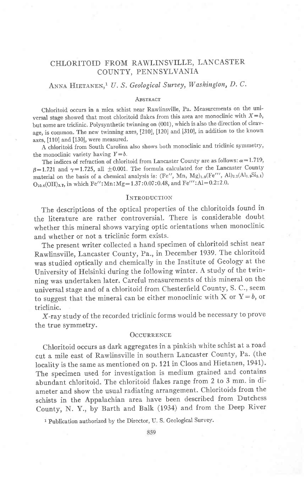## CHLORITOID FROM RAWLINSVILLE, LANCASTER COUNTY, PENNSYLVANIA

# ANNA HIETANEN,<sup>1</sup> U. S. Geological Survey, Washington, D. C.

### **ABSTRACT**

Chloritoid. occurs in a mica schist near Rawlinsville, Pa. Measurements on the universal stage showed that most chloritoid flakes from this area are monoclinic with  $X=b$ , but some are triclinic. Polysynthetic twinning on (001), which is also the direction of cleavage, is common. The new twinning axes, [210], [120] and [310], in addition to the known axes, [110] and [130], were measured.

A chloritoid from South Carolina also shows both monoclinic and triclinic symmetry' the monoclinic variety having  $Y=b$ .

The indices of refraction of chloritoid from Lancaster County are as follows:  $\alpha=1.719$ ,  $\beta=1.721$  and  $\gamma=1.725$ , all  $\pm0.001$ . The formula calculated for the Lancaster County material on the basis of a chemical analysis is:  $(Fe'', Mn, Mg)_{1.9}(Fe''', Al)_{2.2}(Al_{1.9}Si_{2.1})$  $O<sub>10.4</sub>(OH)<sub>3.7</sub>$ , in which Fe'': Mn: Mg = 1.37:0.07:0.48, and Fe''': Al = 0.2:2.0.

#### **INTRODUCTION**

The descriptions of the optical properties of the chloritoids found in the literature are rather controversial. There is considerable doubt whether this mineral shows varying optic orientations when monoclinic and whether or not a triclinic form exists.

The present writer collected a hand specimen of chloritoid schist near Rawlinsville, Lancaster County, Pa., in December 1939. The chloritoid was studied optically and chemically in the Institute of Geology at the university of Helsinki during the following winter. A study of the twinning was undertaken later. careful measurements o{ this mineral on the universal stage and of a chloritoid from Chesterfield County, S. C., seem to suggest that the mineral can be either monoclinic with X or  $Y=b$ , or triclinic.

X-ray study of the recorded triclinic forms would be necessary to prove the true symmetry.

#### OCCURRENCE

Chtoritoid occurs as dark aggregates in a pinkish white schist at a road cut a mile east of Rawlinsville in southern Lancaster County, Pa. (the locality is the same as mentioned on p. 121 in Cloos and Hietanen, 1941). The specimen used for investigation is medium grained and contains abundant chloritoid. The chloritoid flakes range from 2 to 3 mm. in diameter and show the usual radiating arrangement. Chloritoids from the schists in the Appalachian area have been described from Dutchess County, N. Y., by Barth and Balk (1934) and from the Deep River

1 Publication authorized by the Director, U. S. Geological Survey.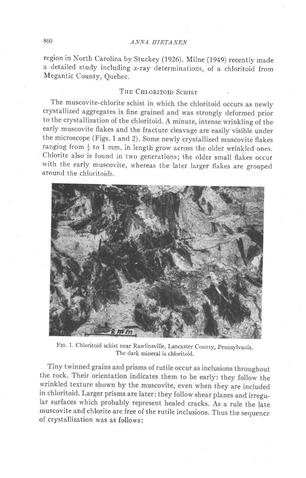# 860 ANNA HIETANEN

region in North carolina by Stuckey (1926). Milne (1949) recently made a detailed study including  $x$ -ray determinations, of a chloritoid from Megantic County, Quebec.

### THE CHLORITOID SCHIST

The muscovite-chlorite schist in which the chloritoid occurs as newly crystallized aggregates is fine grained and was strongly deformed prior to the crystallization of the chloritoid. A minute, intense wrinkling of the early muscovite flakes and the fracture cleavage are easily visible under the microscope (Figs. 1 and 2). Some newly crystallized muscovite flakes ranging from  $\frac{1}{2}$  to 1 mm. in length grow across the older wrinkled ones. chlorite also is found in two generations; the older small flakes occur with the early muscovite, whereas the later larger flakes are grouped around the chloritoids.



The dark mineral is chloritoid. Frc. 1. chloritoid schist near Rawlinsvilie, Lancaster county, pennsylvania.

Tiny twinned grains and prisms of rutile occur as inclusions throughout the rock. Their orientation indicates them to be early: they follow the wrinkled texture shown by the muscovite, even when they are included in chloritoid. Larger prisms are later: they follow shear planes and irregular surfaces which probably represent healed cracks. As a rule the late muscovite and chlorite are free of the rutile inclusions. Thus the sequence of crystallization was as follows: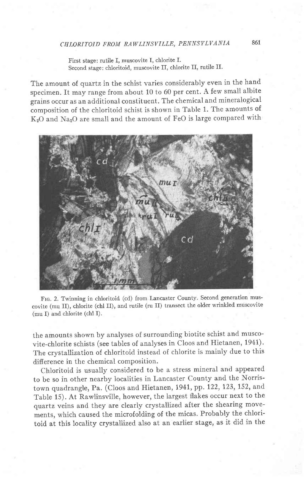First stage: rutile I, muscovite I, chlorite I. Second stage: chloritoid, muscovite II, chlorite II, rutile II.

The amount of quartz in the schist varies considerably even in the hand specimen. It may range from about 10 to 60 per cent. A few small albite grains occur as an additional constituent. The chemical and mineralogical composition of the chloritoid schist is shown in Table 1. The amounts of KzO and NazO are small and the amount of FeO is large compared with



FIG. 2. Twinning in chloritoid (cd) from Lancaster County. Second generation muscovite (mu II), chlorite (chl II), and rutile (ru II) transect the older wrinkled muscovite  $(\text{mu I})$  and chlorite  $(\text{ch} I)$ .

the amounts shown by analyses of surrounding biotite schist and muscovite-chlorite schists (see tables of analyses in cloos and Hietanen, 1941). The crystallization of chloritoid instead of chlorite is mainly due to this difierence in the chemical composition.

chloritoid is usually considered to be a stress mineral and appeared to be so in other nearby localities in Lancaster county and the Norristown quadrangle, Pa. (Cloos and Hietanen, 1941, pp. 122, 123, 152, and Table 15). At Rawlinsville, however, the largest flakes occur next to the quartz veins and they are clearly crystallized after the shearing movements, which caused the microfolding of the micas. Probably the chloritoid at this locality crystallized also at an earlier stage, as it did in the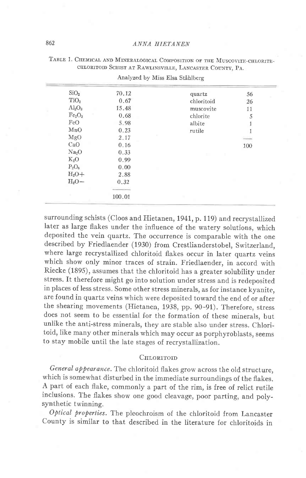| SiO <sub>2</sub>               | 70.12  | quartz         | 56  |  |
|--------------------------------|--------|----------------|-----|--|
| TiO <sub>2</sub>               | 0.67   | chloritoid     | 26  |  |
| $Al_2O_3$                      | 15.48  | muscovite      | 11  |  |
| Fe <sub>2</sub> O <sub>3</sub> | 0.68   | chlorite       | 5   |  |
| FeO                            | 5.98   | albite         |     |  |
| MnO                            | 0.23   | rutile         |     |  |
| MgO                            | 2.17   |                |     |  |
| CaO                            | 0.16   |                | 100 |  |
| Na <sub>2</sub> O              | 0.33   | $\mathbb{R}^n$ |     |  |
| $K_2O$                         | 0.99   |                |     |  |
| $P_2O_5$                       | 0.00   |                |     |  |
| $H_2O+$                        | 2.88   |                |     |  |
| $H_2O-$                        | 0.32   |                |     |  |
|                                |        |                |     |  |
| ٠                              | 100.01 |                |     |  |
|                                |        |                |     |  |

| TABLE 1. CHEMICAL AND MINERALOGICAL COMPOSITION OF THE MUSCOVITE-CHLORITE- |
|----------------------------------------------------------------------------|
| CHLORITOID SCHIST AT RAWLINSVILLE, LANCASTER COUNTY, PA.                   |

Analyzed by Miss Elsa Ståhlberg

surrounding schists (Cloos and Hietanen, 1941, p. 119) and recrystallized later as large flakes under the influence of the watery solutions, which deposited the vein quartz. The occurrence is comparable with the one described by Friedlaender (1930) from Crestlianderstobel, Switzerland, where large recrystallized chloritoid flakes occur in later quartz veins which show only minor traces of strain. Friedlaender, in accord with Riecke (1895), assumes that the chloritoid has a greater solubility under stress. It therefore might go into solution under stress and is redeposited in places of less stress. Some other stress minerals, as for instance kyanite, are found in quartz veins which were deposited toward the end of or after the shearing movements (Hietanen, 1938, pp. 90-91). Therefore, stress does not seem to be essential for the formation of these minerals, but unlike the anti-stress minerals, they are stable also under stress. Chloritoid, like many other minerals which may occur as porphyroblasts, seems to stay mobile until the late stages of recrystallization.

### CHLORITOID

General appearance. The chloritoid flakes grow across the old structure, which is somewhat disturbed in the immediate surroundings of the flakes. A part of each flake, commonly a part of the rim, is free of relict rutile inclusions. The flakes show one good cleavage, poor parting, and polysynthetic twinning.

Optical properties. The pleochroism of the chloritoid from Lancaster County is similar to that described in the literature for chloritoids in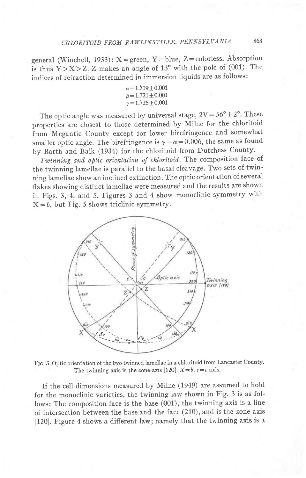general (Winchell, 1933):  $X =$ green, Y=blue, Z=colorless. Absorption is thus  $Y > X > Z$ . Z makes an angle of 13° with the pole of (001). The indices of refraction determined in immersion liquids are as follows:

| $\alpha = 1.719 \pm 0.001$ |  |
|----------------------------|--|
| $\beta = 1.721 + 0.001$    |  |
| $\gamma = 1.725 \pm 0.001$ |  |

The optic angle was measured by universal stage,  $2V = 56^{\circ} \pm 2^{\circ}$ . These properties are closest to those determined by Milne for the chloritoid from Megantic county except for lower birefringence and somewhat smaller optic angle. The birefringence is  $\gamma - \alpha = 0.006$ , the same as found by Barth and Balk (1934) for the chloritoid from Dutchess County.

Twinning and optic orientation of chloritoid. The composition face of the twinning lamellae is parallel to the basal cleavage. Two sets of twinning lamellae show an inclined extinction. The optic orientation of several flakes showing distinct lamellae were measured and the results are shown in Figs. 3, 4, and 5. Figures 3 and 4 show monoclinic symmetry with  $X = b$ , but Fig. 5 shows triclinic symmetry.



FIG. 3. Optic orientation of the two twinned lamellae in a chloritoid from Lancaster County. The twinning axis is the zone-axis [120].  $X=b$ ,  $c=c$  axis.

If the cell dimensions measured by Milne (1949) are assumed to hold for the monoclinic varieties, the twinning law shown in Fig. 3 is as follows: The composition face is the base (001), the twinning axis is a line of intersection between the base and the face (210), and is the zone-axis [120]. Figure 4 shows a difierent law; namely that the twinning axis is a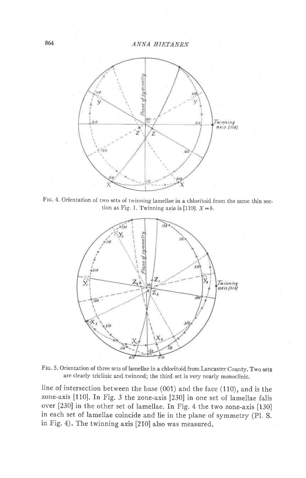

Frc. 4. Orientation of two sets of twinning lamellae in a chloritoid from the same thin section as Fig. 1. Twinning axis is [110].  $X = b$ .



Frc. 5. Orientation of three sets of lamellae in a chloritoid from Lancaster County. Two sets are clearly triclinic and twinned; the third set is very nearly monoclinic.

line of intersection between the base (001) and the face (110), and is the zone-axis [110]. In Fig.3 the zone-axis [230] in one set of lamellae falls over [230] in the other set of lamellae. fn Fig. 4 the two zone-axis [130] in each set of lamellae coincide and lie in the plane of symmetry (pl. S. in Fig. 4). The twinning axis [210] also was measured.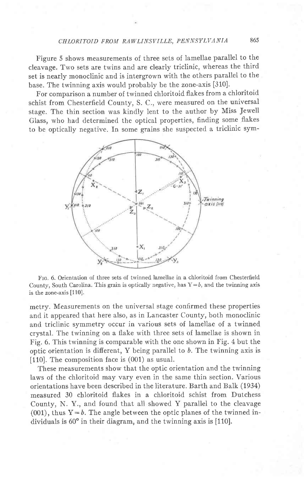## CIILORITOID FROM RAWLINSVILLE, PENNSYLVANIA 865

Figure 5 shows measurements of three sets of lamellae parallel to the cleavage. Two sets are twins and are clearly triclinic, whereas the third set is nearly monoclinic and is intergrown with the others parallel to the base. The twinning axis would probably be the zone-axis [310].

For comparison a number of twinned chloritoid flakes from a chloritoid schist from Chesterfield County, S. C., were measured on the universal stage. The thin section was kindly lent to the author by Miss Jewell Glass, who had determined the optical properties, finding some flakes to be optically negative. In some gtains she suspected a triclinic sym-



Ftc. 6. Orientation of three sets of twinned lamellae in a chloritoid from Chesterfield County, South Carolina. This grain is optically negative, has  $Y=b$ , and the twinning axis is the zone-axis [110].

metry. Measurements on the universal stage confirmed these properties and it appeared that here also, as in Lancaster County, both monoclinic and triclinic symmetry occur in various sets of lamellae of a twinned crystal. The twinning on a flake with three sets of lamellae is shown in Fig. 6. This twinning is comparable with the one shown in Fig. 4 but the optic orientation is different,  $Y$  being parallel to  $b$ . The twinning axis is [110]. The composition face is (001) as usual.

These measurements show that the optic orientation and the twinning laws of the chloritoid may vary even in the same thin section. Various orientations have been described in the literature. Barth and Balk (1934) measured 30 chloritoid flakes in a chloritoid schist from Dutchess County, N. Y., and found that all showed Y parallel to the cleavage (001), thus  $Y=b$ . The angle between the optic planes of the twinned individuals is  $60^{\circ}$  in their diagram, and the twinning axis is [110].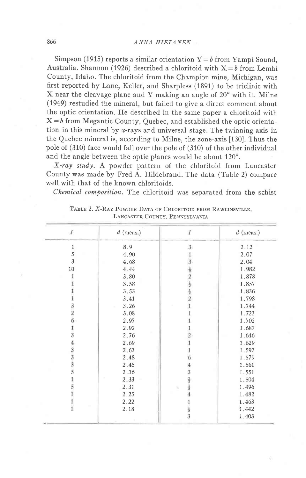### ANNA HIETANEN

Simpson (1915) reports a similar orientation  $Y = b$  from Yampi Sound, Australia. Shannon (1926) described a chloritoid with  $X = b$  from Lemhi County, Idaho. The chloritoid from the Champion mine, Michigan, was first reported by Lane, Keller, and Sharpless (1891) to be triclinic with X near the cleavage plane and Y making an angle of  $20^{\circ}$  with it. Milne (1949) restudied the mineral, but failed to give a direct comment about the optic orientation. He described in the same paper a chloritoid with  $X = b$  from Megantic County, Quebec, and established the optic orientation in this mineral by  $x$ -rays and universal stage. The twinning axis in the Quebec mineral is, according to Milne, the zone-axis [130]. Thus the pole of (310) face would fall over the pole of (310) of the other individual and the angle between the optic planes would be about 120°.

X-ray study. A powder pattern of the chloritoid from Lancaster County was made by Fred A. Hildebrand. The data (Table 2) compare well with that of the known chloritoids.

Chemical composition. The chloritoid was separated from the schist

| $\overline{I}$      | $d$ (meas.) | $\mathcal{I}$                                                                             | $d$ (meas.) |
|---------------------|-------------|-------------------------------------------------------------------------------------------|-------------|
| 1                   | 8.9         | $\mathbf{3}$                                                                              | 2.12        |
| 5                   | 4.90        |                                                                                           | 2.07        |
| 3                   | 4.68        |                                                                                           | 2.04        |
| 10                  | 4.44        |                                                                                           | 1.982       |
|                     | 3.80        |                                                                                           | 1.878       |
|                     | 3.58        |                                                                                           | 1.857       |
|                     | 3.53        |                                                                                           | 1.836       |
|                     | 3.41        | $1\overline{3}$ $\frac{1}{2}$ $2\overline{3}$ $\frac{1}{2}$ $\frac{1}{2}$ $2\overline{1}$ | 1.798       |
|                     | 3.26        |                                                                                           | 1.744       |
| $\frac{3}{2}$       | 3.08        |                                                                                           | 1.723       |
| 6                   | 2.97        |                                                                                           | 1.702       |
| 1                   | 2.92        |                                                                                           | 1.687       |
| $\overline{3}$      | 2.76        |                                                                                           | 1.646       |
|                     | 2.69        |                                                                                           | 1.629       |
| $\frac{4}{3}$ 3 3 5 | 2.63        | $\begin{array}{c}\n2 \\ 1 \\ 6\n\end{array}$                                              | 1.597       |
|                     | 2.48        |                                                                                           | 1.579       |
|                     | 2.45        |                                                                                           | 1.561       |
|                     | 2.36        |                                                                                           | 1.551       |
|                     | 2.33        |                                                                                           | 1.504       |
| 5                   | 2.31        | $4$ 3 $\frac{1}{2}$ $\frac{1}{2}$ $\frac{1}{4}$                                           | 1.496       |
|                     | 2.25        |                                                                                           | 1.482       |
|                     | 2.22        |                                                                                           | 1.463       |
|                     | 2.18        | $\frac{1}{2}$                                                                             | 1.442       |
|                     |             |                                                                                           | 1.403       |

TABLE 2. X-RAY POWDER DATA OF CHLORITOID FROM RAWLINSVILLE, LANCASTER COUNTY, PENNSYLVANIA

866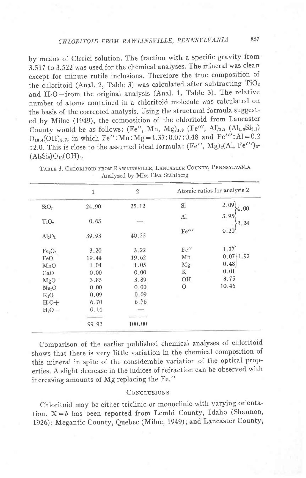by means of Clerici solution. The fraction with a specific gravity from 3.517 to 3.522 was used for the chemical analyses. The mineral was clean except for minute rutile inclusions. Therefore the true composition of the chloritoid (Anal. 2, Table 3) was calculated after subtracting TiO<sub>2</sub> and  $H_2O$ -from the original analysis (Anal. 1, Table 3). The relative number of atoms contained in a chloritoid molecule was calculated on the basis of the corrected analysis. Using the structural formula suggested by Milne (1949), the composition of the chloritoid from Lancaster County would be as follows:  $(Fe'', Mn, Mg)_{1.9} (Fe''', Al)_{2.2} (Al_{1.9}Si_{2.1})$  $O_{10.4}(\text{OH})_{3.7}$ , in which Fe'': Mn: Mg = 1.37:0.07:0.48 and Fe''': Al = 0.2 :2.0. This is close to the assumed ideal formula:  $(Fe'', Mg)<sub>2</sub>(Al, Fe''')<sub>2</sub>$  $(Al_2Si_2)O_{10}(OH)_4.$ 

|                                | $\mathbf{1}$ | $\overline{2}$ |          | Atomic ratios for analysis 2 |
|--------------------------------|--------------|----------------|----------|------------------------------|
| SiO <sub>2</sub>               | 24.90        | 25.12          | Si       | 2.09<br>4.00                 |
| TiO <sub>2</sub>               | 0.63         |                | Al       | $3.95$ 2.24                  |
| Al <sub>2</sub> O <sub>3</sub> | 39.93        | 40.25          | Fe'''    | 0.20                         |
| Fe <sub>2</sub> O <sub>3</sub> | 3.20         | 3.22           | Fe''     | 1.37                         |
| FeO                            | 19.44        | 19.62          | Mn       | $0.07\$ 1.92                 |
| MnO                            | 1.04         | 1.05           | Mg       | 0.48                         |
| CaO                            | 0.00         | 0.00           | K        | 0.01                         |
| MgO                            | 3.85         | 3.89           | OН       | 3.75                         |
| Na <sub>2</sub> O              | 0.00         | 0.00           | $\Omega$ | 10.46                        |
| $K_2O$                         | 0.09         | 0.09           |          |                              |
| $H_2O+$                        | 6.70         | 6.76           |          |                              |
| H <sub>0</sub>                 | 0.14         |                |          |                              |
|                                |              |                |          |                              |
|                                | 99.92        | 100.00         |          |                              |

TABLE 3. CHLORITOID FROM RAWLINSVILLE, LANCASTER COUNTY, PENNSYLVANIA Analyzed by Miss Elsa Ståhlberg

Comparison of the earlier published chemical analyses of chloritoid shows that there is very little variation in the chemical composition of this mineral in spite of the considerable variation of the optical properties. A slight decrease in the indices of refraction can be observed with increasing amounts of Mg replacing the Fe."

#### **CONCLUSIONS**

Chloritoid may be either triclinic or monoclinic with varying orientation.  $X = b$  has been reported from Lemhi County, Idaho (Shannon, 1926); Megantic County, Quebec (Milne, 1949); and Lancaster County,